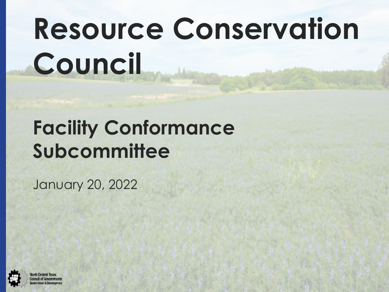# **Resource Conservation Council**

## **Facility Conformance Subcommittee**

January 20, 2022

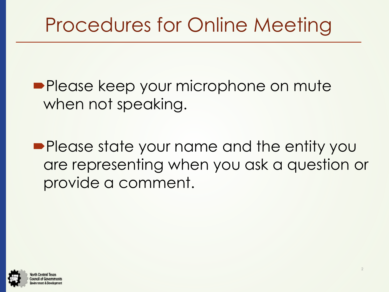### Procedures for Online Meeting

**Please keep your microphone on mute** when not speaking.

**Please state your name and the entity you** are representing when you ask a question or provide a comment.

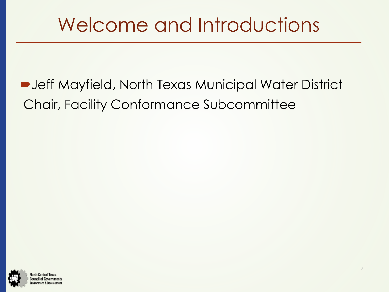### Welcome and Introductions

#### ■ Jeff Mayfield, North Texas Municipal Water District Chair, Facility Conformance Subcommittee

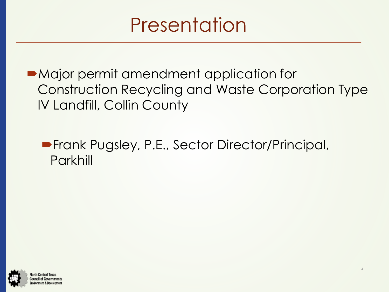### **Presentation**

Major permit amendment application for Construction Recycling and Waste Corporation Type IV Landfill, Collin County

Frank Pugsley, P.E., Sector Director/Principal, Parkhill

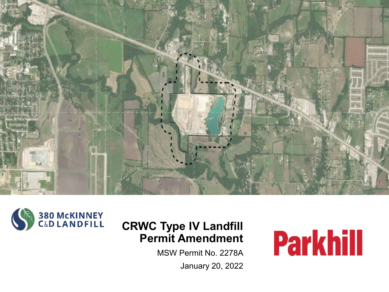



#### **CRWC Type IV Landfill Permit Amendment**

MSW Permit No. 2278A January 20, 2022

## **Parkhill**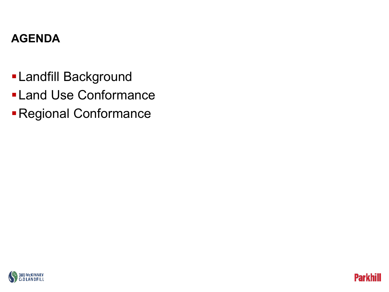#### **AGENDA**

- Landfill Background
- **-Land Use Conformance**
- Regional Conformance



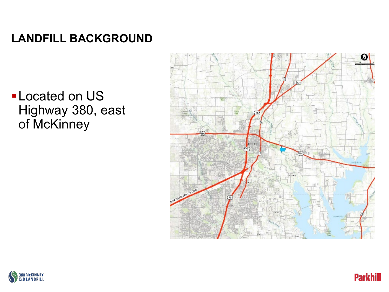#### **-Located on US** Highway 380, east of McKinney





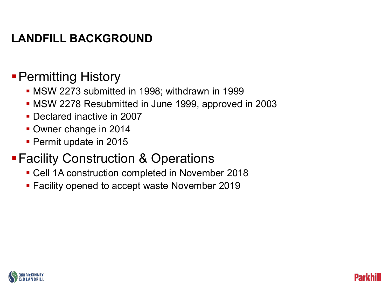#### Permitting History

- MSW 2273 submitted in 1998; withdrawn in 1999
- MSW 2278 Resubmitted in June 1999, approved in 2003
- Declared inactive in 2007
- **Owner change in 2014**
- **Permit update in 2015**

#### **Facility Construction & Operations**

Cell 1A construction completed in November 2018

Parki

**Facility opened to accept waste November 2019** 

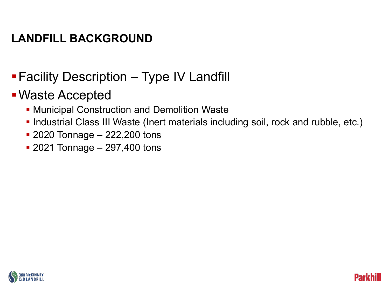- Facility Description Type IV Landfill
- Waste Accepted
	- **Municipal Construction and Demolition Waste**
	- **Industrial Class III Waste (Inert materials including soil, rock and rubble, etc.)**

Parkhil

- 2020 Tonnage 222,200 tons
- 2021 Tonnage 297,400 tons

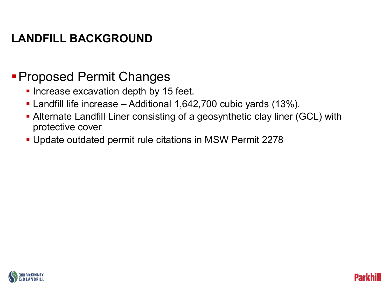#### **Proposed Permit Changes**

- **Increase excavation depth by 15 feet.**
- Landfill life increase Additional 1,642,700 cubic yards (13%).
- Alternate Landfill Liner consisting of a geosynthetic clay liner (GCL) with protective cover

Parki

Update outdated permit rule citations in MSW Permit 2278

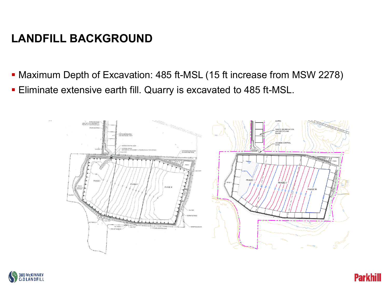- Maximum Depth of Excavation: 485 ft-MSL (15 ft increase from MSW 2278)
- Eliminate extensive earth fill. Quarry is excavated to 485 ft-MSL.





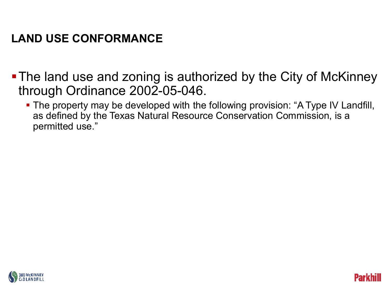#### **LAND USE CONFORMANCE**

- The land use and zoning is authorized by the City of McKinney through Ordinance 2002-05-046.
	- **The property may be developed with the following provision: "A Type IV Landfill,** as defined by the Texas Natural Resource Conservation Commission, is a permitted use."

Parkh

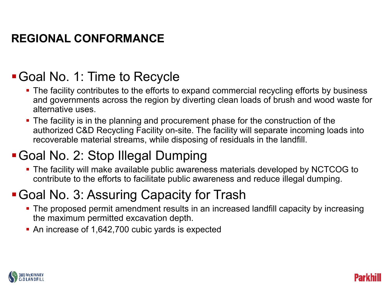#### **REGIONAL CONFORMANCE**

#### Goal No. 1: Time to Recycle

- The facility contributes to the efforts to expand commercial recycling efforts by business and governments across the region by diverting clean loads of brush and wood waste for alternative uses.
- The facility is in the planning and procurement phase for the construction of the authorized C&D Recycling Facility on-site. The facility will separate incoming loads into recoverable material streams, while disposing of residuals in the landfill.

#### Goal No. 2: Stop Illegal Dumping

 The facility will make available public awareness materials developed by NCTCOG to contribute to the efforts to facilitate public awareness and reduce illegal dumping.

#### Goal No. 3: Assuring Capacity for Trash

- The proposed permit amendment results in an increased landfill capacity by increasing the maximum permitted excavation depth.
- An increase of 1,642,700 cubic yards is expected

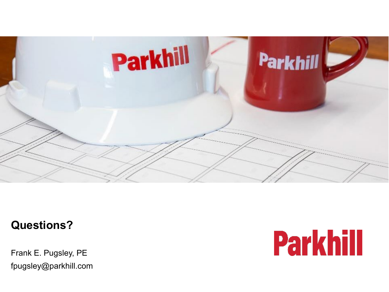

#### **Questions?**

Frank E. Pugsley, PE fpugsley@parkhill.com

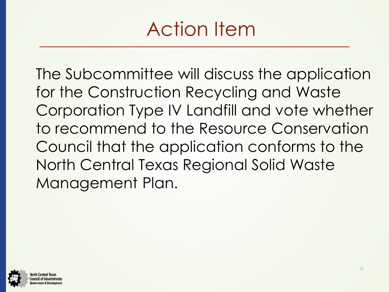### Action Item

The Subcommittee will discuss the application for the Construction Recycling and Waste Corporation Type IV Landfill and vote whether to recommend to the Resource Conservation Council that the application conforms to the North Central Texas Regional Solid Waste Management Plan.

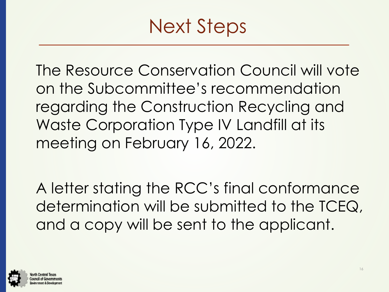## Next Steps

The Resource Conservation Council will vote on the Subcommittee's recommendation regarding the Construction Recycling and Waste Corporation Type IV Landfill at its meeting on February 16, 2022.

A letter stating the RCC's final conformance determination will be submitted to the TCEQ, and a copy will be sent to the applicant.

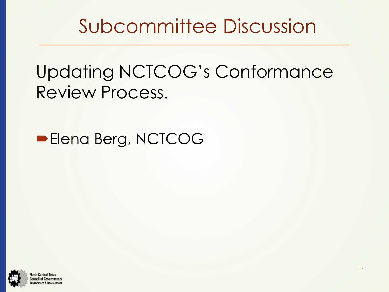### Subcommittee Discussion

### Updating NCTCOG's Conformance Review Process.

#### **Elena Berg, NCTCOG**

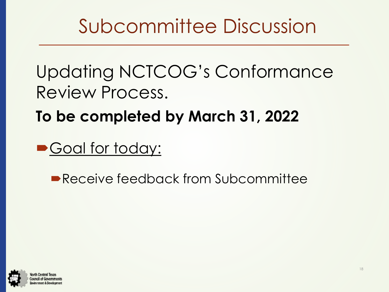### Subcommittee Discussion

### Updating NCTCOG's Conformance Review Process.

### **To be completed by March 31, 2022**

Goal for today:

**Receive feedback from Subcommittee** 

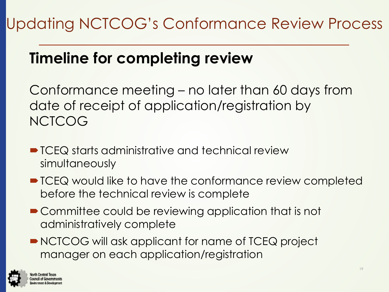### Updating NCTCOG's Conformance Review Process

### **Timeline for completing review**

Conformance meeting – no later than 60 days from date of receipt of application/registration by **NCTCOG** 

- **TCEQ starts administrative and technical review** simultaneously
- TCEQ would like to have the conformance review completed before the technical review is complete
- Committee could be reviewing application that is not administratively complete
- NCTCOG will ask applicant for name of TCEQ project manager on each application/registration

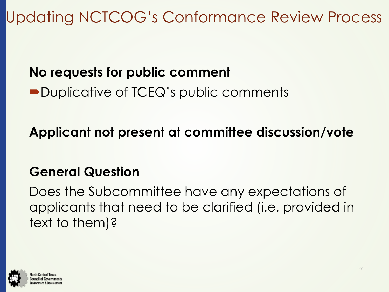Updating NCTCOG's Conformance Review Process

#### **No requests for public comment**

**■Duplicative of TCEQ's public comments** 

**Applicant not present at committee discussion/vote**

#### **General Question**

Does the Subcommittee have any expectations of applicants that need to be clarified (i.e. provided in text to them)?

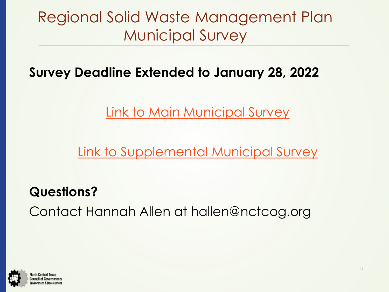### Regional Solid Waste Management Plan Municipal Survey

#### **Survey Deadline Extended to January 28, 2022**

[Link to Main Municipal Survey](https://www.surveymonkey.com/r/NCTCOGSWMP)

[Link to Supplemental Municipal Survey](https://www.surveymonkey.com/r/RRSQJYX)

#### **Questions?**

Contact Hannah Allen at hallen@nctcog.org